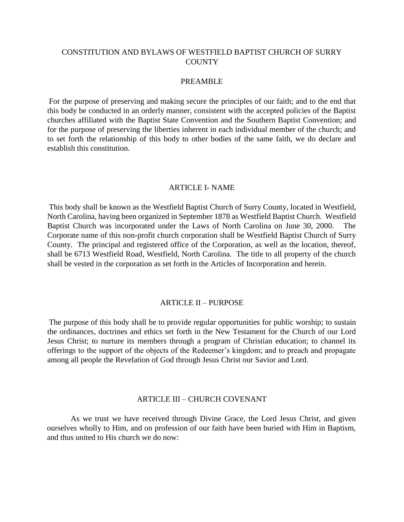## CONSTITUTION AND BYLAWS OF WESTFIELD BAPTIST CHURCH OF SURRY **COUNTY**

## PREAMBLE

For the purpose of preserving and making secure the principles of our faith; and to the end that this body be conducted in an orderly manner, consistent with the accepted policies of the Baptist churches affiliated with the Baptist State Convention and the Southern Baptist Convention; and for the purpose of preserving the liberties inherent in each individual member of the church; and to set forth the relationship of this body to other bodies of the same faith, we do declare and establish this constitution.

#### ARTICLE I- NAME

This body shall be known as the Westfield Baptist Church of Surry County, located in Westfield, North Carolina, having been organized in September 1878 as Westfield Baptist Church. Westfield Baptist Church was incorporated under the Laws of North Carolina on June 30, 2000. The Corporate name of this non-profit church corporation shall be Westfield Baptist Church of Surry County. The principal and registered office of the Corporation, as well as the location, thereof, shall be 6713 Westfield Road, Westfield, North Carolina. The title to all property of the church shall be vested in the corporation as set forth in the Articles of Incorporation and herein.

#### ARTICLE II – PURPOSE

The purpose of this body shall be to provide regular opportunities for public worship; to sustain the ordinances, doctrines and ethics set forth in the New Testament for the Church of our Lord Jesus Christ; to nurture its members through a program of Christian education; to channel its offerings to the support of the objects of the Redeemer's kingdom; and to preach and propagate among all people the Revelation of God through Jesus Christ our Savior and Lord.

### ARTICLE III – CHURCH COVENANT

As we trust we have received through Divine Grace, the Lord Jesus Christ, and given ourselves wholly to Him, and on profession of our faith have been buried with Him in Baptism, and thus united to His church we do now: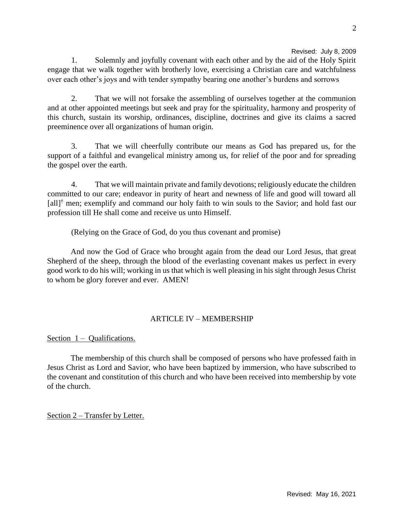Revised: July 8, 2009

1. Solemnly and joyfully covenant with each other and by the aid of the Holy Spirit engage that we walk together with brotherly love, exercising a Christian care and watchfulness over each other's joys and with tender sympathy bearing one another's burdens and sorrows

2. That we will not forsake the assembling of ourselves together at the communion and at other appointed meetings but seek and pray for the spirituality, harmony and prosperity of this church, sustain its worship, ordinances, discipline, doctrines and give its claims a sacred preeminence over all organizations of human origin.

3. That we will cheerfully contribute our means as God has prepared us, for the support of a faithful and evangelical ministry among us, for relief of the poor and for spreading the gospel over the earth.

4. That we will maintain private and family devotions; religiously educate the children committed to our care; endeavor in purity of heart and newness of life and good will toward all  $\left[ \text{all} \right]^\dagger$  men; exemplify and command our holy faith to win souls to the Savior; and hold fast our profession till He shall come and receive us unto Himself.

(Relying on the Grace of God, do you thus covenant and promise)

And now the God of Grace who brought again from the dead our Lord Jesus, that great Shepherd of the sheep, through the blood of the everlasting covenant makes us perfect in every good work to do his will; working in us that which is well pleasing in his sight through Jesus Christ to whom be glory forever and ever. AMEN!

# ARTICLE IV – MEMBERSHIP

Section  $1 -$  Qualifications.

The membership of this church shall be composed of persons who have professed faith in Jesus Christ as Lord and Savior, who have been baptized by immersion, who have subscribed to the covenant and constitution of this church and who have been received into membership by vote of the church.

Section 2 – Transfer by Letter.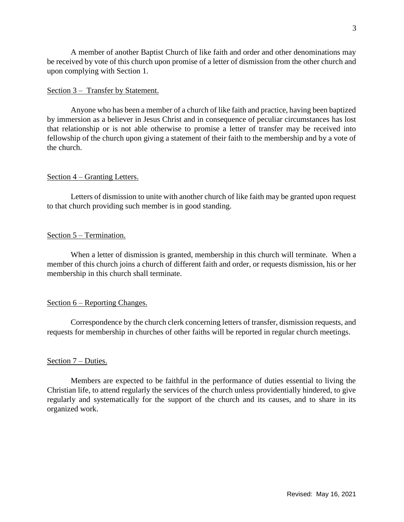A member of another Baptist Church of like faith and order and other denominations may be received by vote of this church upon promise of a letter of dismission from the other church and upon complying with Section 1.

### Section 3 – Transfer by Statement.

Anyone who has been a member of a church of like faith and practice, having been baptized by immersion as a believer in Jesus Christ and in consequence of peculiar circumstances has lost that relationship or is not able otherwise to promise a letter of transfer may be received into fellowship of the church upon giving a statement of their faith to the membership and by a vote of the church.

### Section 4 – Granting Letters.

Letters of dismission to unite with another church of like faith may be granted upon request to that church providing such member is in good standing.

## Section 5 – Termination.

When a letter of dismission is granted, membership in this church will terminate. When a member of this church joins a church of different faith and order, or requests dismission, his or her membership in this church shall terminate.

## Section 6 – Reporting Changes.

Correspondence by the church clerk concerning letters of transfer, dismission requests, and requests for membership in churches of other faiths will be reported in regular church meetings.

## Section 7 – Duties.

Members are expected to be faithful in the performance of duties essential to living the Christian life, to attend regularly the services of the church unless providentially hindered, to give regularly and systematically for the support of the church and its causes, and to share in its organized work.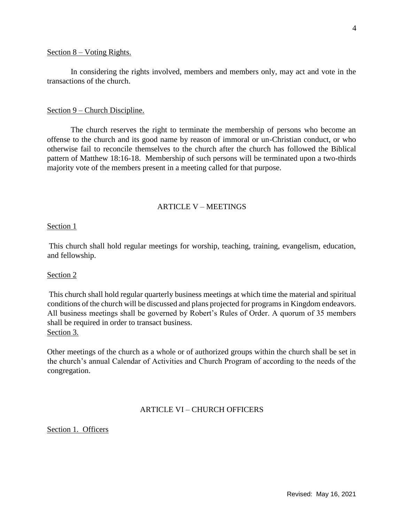#### Section 8 – Voting Rights.

In considering the rights involved, members and members only, may act and vote in the transactions of the church.

#### Section 9 – Church Discipline.

The church reserves the right to terminate the membership of persons who become an offense to the church and its good name by reason of immoral or un-Christian conduct, or who otherwise fail to reconcile themselves to the church after the church has followed the Biblical pattern of Matthew 18:16-18. Membership of such persons will be terminated upon a two-thirds majority vote of the members present in a meeting called for that purpose.

## ARTICLE V – MEETINGS

#### Section 1

This church shall hold regular meetings for worship, teaching, training, evangelism, education, and fellowship.

#### Section 2

This church shall hold regular quarterly business meetings at which time the material and spiritual conditions of the church will be discussed and plans projected for programs in Kingdom endeavors. All business meetings shall be governed by Robert's Rules of Order. A quorum of 35 members shall be required in order to transact business. Section 3.

Other meetings of the church as a whole or of authorized groups within the church shall be set in the church's annual Calendar of Activities and Church Program of according to the needs of the congregation.

## ARTICLE VI – CHURCH OFFICERS

Section 1. Officers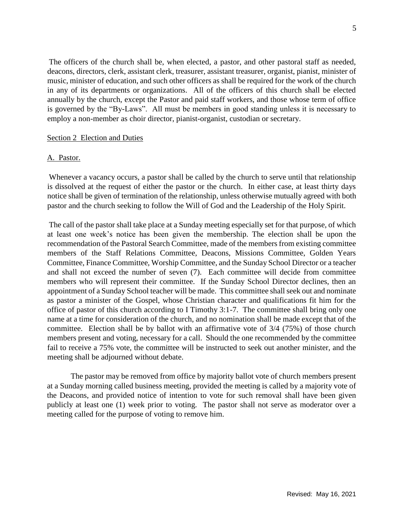The officers of the church shall be, when elected, a pastor, and other pastoral staff as needed, deacons, directors, clerk, assistant clerk, treasurer, assistant treasurer, organist, pianist, minister of music, minister of education, and such other officers as shall be required for the work of the church in any of its departments or organizations. All of the officers of this church shall be elected annually by the church, except the Pastor and paid staff workers, and those whose term of office is governed by the "By-Laws". All must be members in good standing unless it is necessary to employ a non-member as choir director, pianist-organist, custodian or secretary.

#### Section 2 Election and Duties

#### A. Pastor.

Whenever a vacancy occurs, a pastor shall be called by the church to serve until that relationship is dissolved at the request of either the pastor or the church. In either case, at least thirty days notice shall be given of termination of the relationship, unless otherwise mutually agreed with both pastor and the church seeking to follow the Will of God and the Leadership of the Holy Spirit.

The call of the pastor shall take place at a Sunday meeting especially set for that purpose, of which at least one week's notice has been given the membership. The election shall be upon the recommendation of the Pastoral Search Committee, made of the members from existing committee members of the Staff Relations Committee, Deacons, Missions Committee, Golden Years Committee, Finance Committee, Worship Committee, and the Sunday School Director or a teacher and shall not exceed the number of seven (7). Each committee will decide from committee members who will represent their committee. If the Sunday School Director declines, then an appointment of a Sunday School teacher will be made. This committee shall seek out and nominate as pastor a minister of the Gospel, whose Christian character and qualifications fit him for the office of pastor of this church according to I Timothy 3:1-7. The committee shall bring only one name at a time for consideration of the church, and no nomination shall be made except that of the committee. Election shall be by ballot with an affirmative vote of 3/4 (75%) of those church members present and voting, necessary for a call. Should the one recommended by the committee fail to receive a 75% vote, the committee will be instructed to seek out another minister, and the meeting shall be adjourned without debate.

The pastor may be removed from office by majority ballot vote of church members present at a Sunday morning called business meeting, provided the meeting is called by a majority vote of the Deacons, and provided notice of intention to vote for such removal shall have been given publicly at least one (1) week prior to voting. The pastor shall not serve as moderator over a meeting called for the purpose of voting to remove him.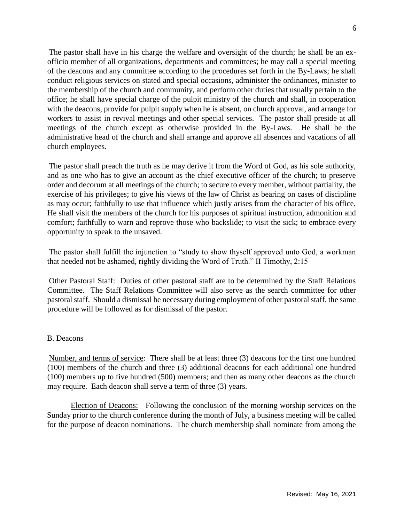The pastor shall have in his charge the welfare and oversight of the church; he shall be an exofficio member of all organizations, departments and committees; he may call a special meeting of the deacons and any committee according to the procedures set forth in the By-Laws; he shall conduct religious services on stated and special occasions, administer the ordinances, minister to the membership of the church and community, and perform other duties that usually pertain to the office; he shall have special charge of the pulpit ministry of the church and shall, in cooperation with the deacons, provide for pulpit supply when he is absent, on church approval, and arrange for workers to assist in revival meetings and other special services. The pastor shall preside at all meetings of the church except as otherwise provided in the By-Laws. He shall be the administrative head of the church and shall arrange and approve all absences and vacations of all church employees.

The pastor shall preach the truth as he may derive it from the Word of God, as his sole authority, and as one who has to give an account as the chief executive officer of the church; to preserve order and decorum at all meetings of the church; to secure to every member, without partiality, the exercise of his privileges; to give his views of the law of Christ as bearing on cases of discipline as may occur; faithfully to use that influence which justly arises from the character of his office. He shall visit the members of the church for his purposes of spiritual instruction, admonition and comfort; faithfully to warn and reprove those who backslide; to visit the sick; to embrace every opportunity to speak to the unsaved.

The pastor shall fulfill the injunction to "study to show thyself approved unto God, a workman that needed not be ashamed, rightly dividing the Word of Truth." II Timothy, 2:15

Other Pastoral Staff: Duties of other pastoral staff are to be determined by the Staff Relations Committee. The Staff Relations Committee will also serve as the search committee for other pastoral staff. Should a dismissal be necessary during employment of other pastoral staff, the same procedure will be followed as for dismissal of the pastor.

# B. Deacons

Number, and terms of service: There shall be at least three (3) deacons for the first one hundred (100) members of the church and three (3) additional deacons for each additional one hundred (100) members up to five hundred (500) members; and then as many other deacons as the church may require. Each deacon shall serve a term of three (3) years.

Election of Deacons: Following the conclusion of the morning worship services on the Sunday prior to the church conference during the month of July, a business meeting will be called for the purpose of deacon nominations. The church membership shall nominate from among the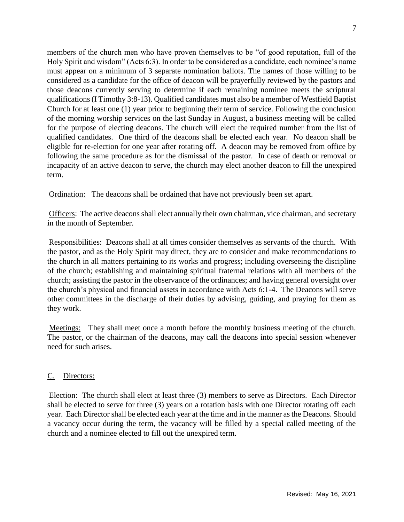members of the church men who have proven themselves to be "of good reputation, full of the Holy Spirit and wisdom" (Acts 6:3). In order to be considered as a candidate, each nominee's name must appear on a minimum of 3 separate nomination ballots. The names of those willing to be considered as a candidate for the office of deacon will be prayerfully reviewed by the pastors and those deacons currently serving to determine if each remaining nominee meets the scriptural qualifications (I Timothy 3:8-13). Qualified candidates must also be a member of Westfield Baptist Church for at least one (1) year prior to beginning their term of service. Following the conclusion of the morning worship services on the last Sunday in August, a business meeting will be called for the purpose of electing deacons. The church will elect the required number from the list of qualified candidates. One third of the deacons shall be elected each year. No deacon shall be eligible for re-election for one year after rotating off. A deacon may be removed from office by following the same procedure as for the dismissal of the pastor.In case of death or removal or incapacity of an active deacon to serve, the church may elect another deacon to fill the unexpired term.

Ordination: The deacons shall be ordained that have not previously been set apart.

Officers: The active deacons shall elect annually their own chairman, vice chairman, and secretary in the month of September.

Responsibilities: Deacons shall at all times consider themselves as servants of the church. With the pastor, and as the Holy Spirit may direct, they are to consider and make recommendations to the church in all matters pertaining to its works and progress; including overseeing the discipline of the church; establishing and maintaining spiritual fraternal relations with all members of the church; assisting the pastor in the observance of the ordinances; and having general oversight over the church's physical and financial assets in accordance with Acts 6:1-4. The Deacons will serve other committees in the discharge of their duties by advising, guiding, and praying for them as they work.

Meetings: They shall meet once a month before the monthly business meeting of the church. The pastor, or the chairman of the deacons, may call the deacons into special session whenever need for such arises.

# C. Directors:

Election: The church shall elect at least three (3) members to serve as Directors. Each Director shall be elected to serve for three (3) years on a rotation basis with one Director rotating off each year. Each Director shall be elected each year at the time and in the manner as the Deacons. Should a vacancy occur during the term, the vacancy will be filled by a special called meeting of the church and a nominee elected to fill out the unexpired term.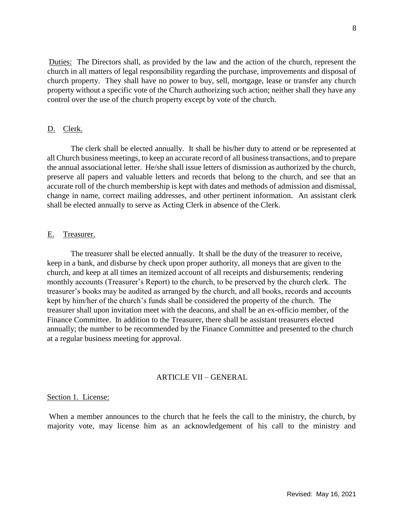Duties: The Directors shall, as provided by the law and the action of the church, represent the church in all matters of legal responsibility regarding the purchase, improvements and disposal of church property. They shall have no power to buy, sell, mortgage, lease or transfer any church property without a specific vote of the Church authorizing such action; neither shall they have any control over the use of the church property except by vote of the church.

### D. Clerk.

The clerk shall be elected annually. It shall be his/her duty to attend or be represented at all Church business meetings, to keep an accurate record of all business transactions, and to prepare the annual associational letter. He/she shall issue letters of dismission as authorized by the church, preserve all papers and valuable letters and records that belong to the church, and see that an accurate roll of the church membership is kept with dates and methods of admission and dismissal, change in name, correct mailing addresses, and other pertinent information. An assistant clerk shall be elected annually to serve as Acting Clerk in absence of the Clerk.

#### E. Treasurer.

The treasurer shall be elected annually. It shall be the duty of the treasurer to receive, keep in a bank, and disburse by check upon proper authority, all moneys that are given to the church, and keep at all times an itemized account of all receipts and disbursements; rendering monthly accounts (Treasurer's Report) to the church, to be preserved by the church clerk. The treasurer's books may be audited as arranged by the church, and all books, records and accounts kept by him/her of the church's funds shall be considered the property of the church. The treasurer shall upon invitation meet with the deacons, and shall be an ex-officio member, of the Finance Committee. In addition to the Treasurer, there shall be assistant treasurers elected annually; the number to be recommended by the Finance Committee and presented to the church at a regular business meeting for approval.

#### ARTICLE VII – GENERAL

### Section 1. License:

When a member announces to the church that he feels the call to the ministry, the church, by majority vote, may license him as an acknowledgement of his call to the ministry and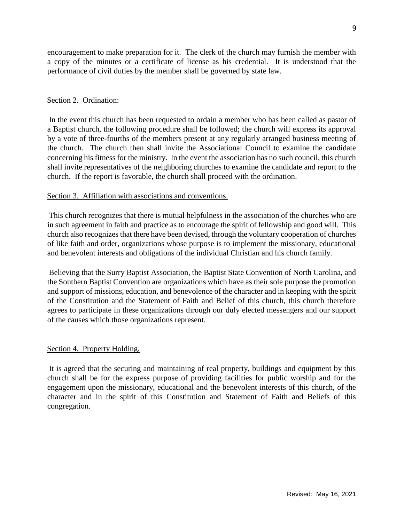encouragement to make preparation for it. The clerk of the church may furnish the member with a copy of the minutes or a certificate of license as his credential. It is understood that the performance of civil duties by the member shall be governed by state law.

## Section 2. Ordination:

In the event this church has been requested to ordain a member who has been called as pastor of a Baptist church, the following procedure shall be followed; the church will express its approval by a vote of three-fourths of the members present at any regularly arranged business meeting of the church. The church then shall invite the Associational Council to examine the candidate concerning his fitness for the ministry. In the event the association has no such council, this church shall invite representatives of the neighboring churches to examine the candidate and report to the church. If the report is favorable, the church shall proceed with the ordination.

## Section 3. Affiliation with associations and conventions.

This church recognizes that there is mutual helpfulness in the association of the churches who are in such agreement in faith and practice as to encourage the spirit of fellowship and good will. This church also recognizes that there have been devised, through the voluntary cooperation of churches of like faith and order, organizations whose purpose is to implement the missionary, educational and benevolent interests and obligations of the individual Christian and his church family.

Believing that the Surry Baptist Association, the Baptist State Convention of North Carolina, and the Southern Baptist Convention are organizations which have as their sole purpose the promotion and support of missions, education, and benevolence of the character and in keeping with the spirit of the Constitution and the Statement of Faith and Belief of this church, this church therefore agrees to participate in these organizations through our duly elected messengers and our support of the causes which those organizations represent.

#### Section 4. Property Holding.

It is agreed that the securing and maintaining of real property, buildings and equipment by this church shall be for the express purpose of providing facilities for public worship and for the engagement upon the missionary, educational and the benevolent interests of this church, of the character and in the spirit of this Constitution and Statement of Faith and Beliefs of this congregation.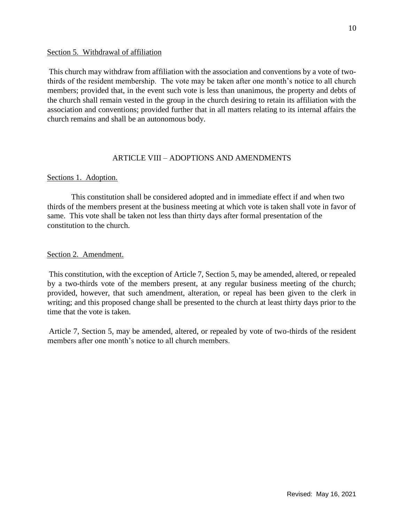### Section 5. Withdrawal of affiliation

This church may withdraw from affiliation with the association and conventions by a vote of twothirds of the resident membership. The vote may be taken after one month's notice to all church members; provided that, in the event such vote is less than unanimous, the property and debts of the church shall remain vested in the group in the church desiring to retain its affiliation with the association and conventions; provided further that in all matters relating to its internal affairs the church remains and shall be an autonomous body.

## ARTICLE VIII – ADOPTIONS AND AMENDMENTS

## Sections 1. Adoption.

This constitution shall be considered adopted and in immediate effect if and when two thirds of the members present at the business meeting at which vote is taken shall vote in favor of same. This vote shall be taken not less than thirty days after formal presentation of the constitution to the church.

## Section 2. Amendment.

This constitution, with the exception of Article 7, Section 5, may be amended, altered, or repealed by a two-thirds vote of the members present, at any regular business meeting of the church; provided, however, that such amendment, alteration, or repeal has been given to the clerk in writing; and this proposed change shall be presented to the church at least thirty days prior to the time that the vote is taken.

Article 7, Section 5, may be amended, altered, or repealed by vote of two-thirds of the resident members after one month's notice to all church members.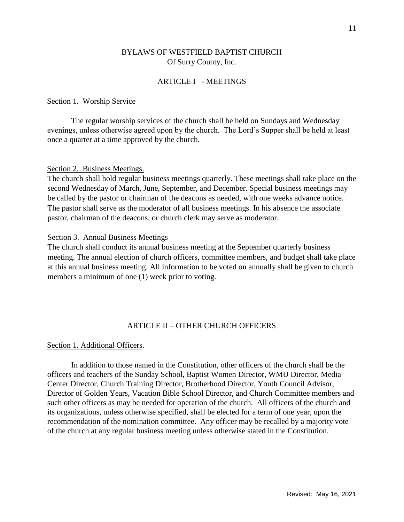## BYLAWS OF WESTFIELD BAPTIST CHURCH Of Surry County, Inc.

### ARTICLE I - MEETINGS

#### Section 1. Worship Service

The regular worship services of the church shall be held on Sundays and Wednesday evenings, unless otherwise agreed upon by the church. The Lord's Supper shall be held at least once a quarter at a time approved by the church.

#### Section 2. Business Meetings.

The church shall hold regular business meetings quarterly. These meetings shall take place on the second Wednesday of March, June, September, and December. Special business meetings may be called by the pastor or chairman of the deacons as needed, with one weeks advance notice. The pastor shall serve as the moderator of all business meetings. In his absence the associate pastor, chairman of the deacons, or church clerk may serve as moderator.

#### Section 3. Annual Business Meetings

The church shall conduct its annual business meeting at the September quarterly business meeting. The annual election of church officers, committee members, and budget shall take place at this annual business meeting. All information to be voted on annually shall be given to church members a minimum of one (1) week prior to voting.

### ARTICLE II – OTHER CHURCH OFFICERS

#### Section 1. Additional Officers.

In addition to those named in the Constitution, other officers of the church shall be the officers and teachers of the Sunday School, Baptist Women Director, WMU Director, Media Center Director, Church Training Director, Brotherhood Director, Youth Council Advisor, Director of Golden Years, Vacation Bible School Director, and Church Committee members and such other officers as may be needed for operation of the church. All officers of the church and its organizations, unless otherwise specified, shall be elected for a term of one year, upon the recommendation of the nomination committee. Any officer may be recalled by a majority vote of the church at any regular business meeting unless otherwise stated in the Constitution.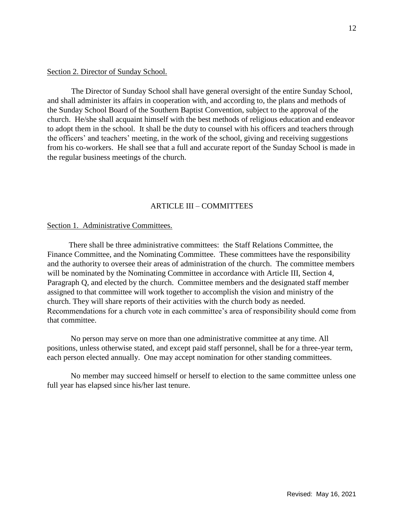#### Section 2. Director of Sunday School.

The Director of Sunday School shall have general oversight of the entire Sunday School, and shall administer its affairs in cooperation with, and according to, the plans and methods of the Sunday School Board of the Southern Baptist Convention, subject to the approval of the church. He/she shall acquaint himself with the best methods of religious education and endeavor to adopt them in the school. It shall be the duty to counsel with his officers and teachers through the officers' and teachers' meeting, in the work of the school, giving and receiving suggestions from his co-workers. He shall see that a full and accurate report of the Sunday School is made in the regular business meetings of the church.

### ARTICLE III – COMMITTEES

#### Section 1. Administrative Committees.

 There shall be three administrative committees: the Staff Relations Committee, the Finance Committee, and the Nominating Committee. These committees have the responsibility and the authority to oversee their areas of administration of the church. The committee members will be nominated by the Nominating Committee in accordance with Article III, Section 4, Paragraph Q, and elected by the church. Committee members and the designated staff member assigned to that committee will work together to accomplish the vision and ministry of the church. They will share reports of their activities with the church body as needed. Recommendations for a church vote in each committee's area of responsibility should come from that committee.

No person may serve on more than one administrative committee at any time. All positions, unless otherwise stated, and except paid staff personnel, shall be for a three-year term, each person elected annually. One may accept nomination for other standing committees.

No member may succeed himself or herself to election to the same committee unless one full year has elapsed since his/her last tenure.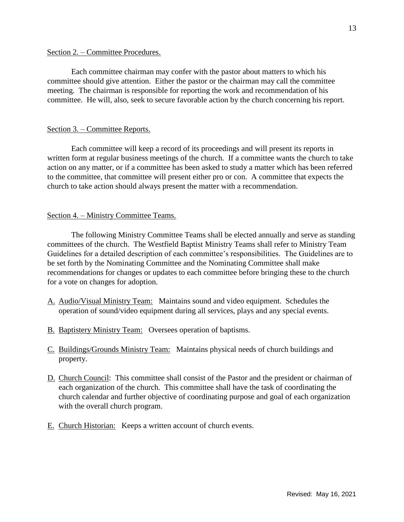### Section 2. – Committee Procedures.

Each committee chairman may confer with the pastor about matters to which his committee should give attention. Either the pastor or the chairman may call the committee meeting. The chairman is responsible for reporting the work and recommendation of his committee. He will, also, seek to secure favorable action by the church concerning his report.

## Section 3. – Committee Reports.

Each committee will keep a record of its proceedings and will present its reports in written form at regular business meetings of the church. If a committee wants the church to take action on any matter, or if a committee has been asked to study a matter which has been referred to the committee, that committee will present either pro or con. A committee that expects the church to take action should always present the matter with a recommendation.

### Section 4. – Ministry Committee Teams.

The following Ministry Committee Teams shall be elected annually and serve as standing committees of the church. The Westfield Baptist Ministry Teams shall refer to Ministry Team Guidelines for a detailed description of each committee's responsibilities. The Guidelines are to be set forth by the Nominating Committee and the Nominating Committee shall make recommendations for changes or updates to each committee before bringing these to the church for a vote on changes for adoption.

- A. Audio/Visual Ministry Team: Maintains sound and video equipment. Schedules the operation of sound/video equipment during all services, plays and any special events.
- B. Baptistery Ministry Team: Oversees operation of baptisms.
- C. Buildings/Grounds Ministry Team: Maintains physical needs of church buildings and property.
- D. Church Council: This committee shall consist of the Pastor and the president or chairman of each organization of the church. This committee shall have the task of coordinating the church calendar and further objective of coordinating purpose and goal of each organization with the overall church program.
- E. Church Historian: Keeps a written account of church events.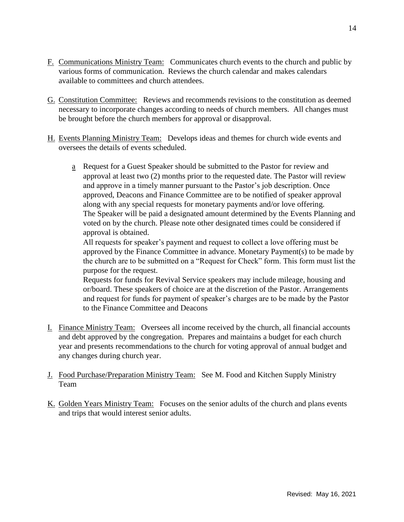- F. Communications Ministry Team: Communicates church events to the church and public by various forms of communication. Reviews the church calendar and makes calendars available to committees and church attendees.
- G. Constitution Committee: Reviews and recommends revisions to the constitution as deemed necessary to incorporate changes according to needs of church members. All changes must be brought before the church members for approval or disapproval.
- H. Events Planning Ministry Team: Develops ideas and themes for church wide events and oversees the details of events scheduled.
	- a Request for a Guest Speaker should be submitted to the Pastor for review and approval at least two (2) months prior to the requested date. The Pastor will review and approve in a timely manner pursuant to the Pastor's job description. Once approved, Deacons and Finance Committee are to be notified of speaker approval along with any special requests for monetary payments and/or love offering. The Speaker will be paid a designated amount determined by the Events Planning and voted on by the church. Please note other designated times could be considered if approval is obtained.

All requests for speaker's payment and request to collect a love offering must be approved by the Finance Committee in advance. Monetary Payment(s) to be made by the church are to be submitted on a "Request for Check" form. This form must list the purpose for the request.

Requests for funds for Revival Service speakers may include mileage, housing and or/board. These speakers of choice are at the discretion of the Pastor. Arrangements and request for funds for payment of speaker's charges are to be made by the Pastor to the Finance Committee and Deacons

- I. Finance Ministry Team: Oversees all income received by the church, all financial accounts and debt approved by the congregation. Prepares and maintains a budget for each church year and presents recommendations to the church for voting approval of annual budget and any changes during church year.
- J. Food Purchase/Preparation Ministry Team: See M. Food and Kitchen Supply Ministry Team
- K. Golden Years Ministry Team: Focuses on the senior adults of the church and plans events and trips that would interest senior adults.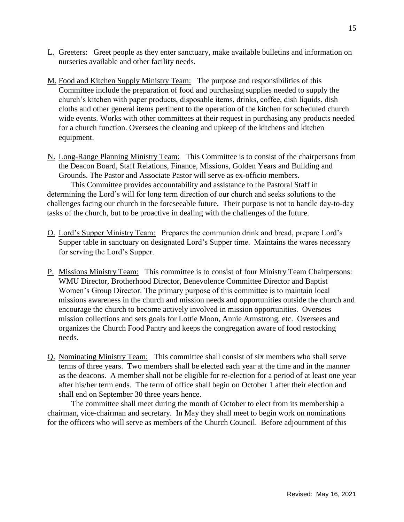- L. Greeters: Greet people as they enter sanctuary, make available bulletins and information on nurseries available and other facility needs.
- M. Food and Kitchen Supply Ministry Team: The purpose and responsibilities of this Committee include the preparation of food and purchasing supplies needed to supply the church's kitchen with paper products, disposable items, drinks, coffee, dish liquids, dish cloths and other general items pertinent to the operation of the kitchen for scheduled church wide events. Works with other committees at their request in purchasing any products needed for a church function. Oversees the cleaning and upkeep of the kitchens and kitchen equipment.
- N. Long-Range Planning Ministry Team: This Committee is to consist of the chairpersons from the Deacon Board, Staff Relations, Finance, Missions, Golden Years and Building and Grounds. The Pastor and Associate Pastor will serve as ex-officio members.

This Committee provides accountability and assistance to the Pastoral Staff in determining the Lord's will for long term direction of our church and seeks solutions to the challenges facing our church in the foreseeable future. Their purpose is not to handle day-to-day tasks of the church, but to be proactive in dealing with the challenges of the future.

- O. Lord's Supper Ministry Team: Prepares the communion drink and bread, prepare Lord's Supper table in sanctuary on designated Lord's Supper time. Maintains the wares necessary for serving the Lord's Supper.
- P. Missions Ministry Team: This committee is to consist of four Ministry Team Chairpersons: WMU Director, Brotherhood Director, Benevolence Committee Director and Baptist Women's Group Director. The primary purpose of this committee is to maintain local missions awareness in the church and mission needs and opportunities outside the church and encourage the church to become actively involved in mission opportunities. Oversees mission collections and sets goals for Lottie Moon, Annie Armstrong, etc. Oversees and organizes the Church Food Pantry and keeps the congregation aware of food restocking needs.
- Q. Nominating Ministry Team: This committee shall consist of six members who shall serve terms of three years. Two members shall be elected each year at the time and in the manner as the deacons. A member shall not be eligible for re-election for a period of at least one year after his/her term ends. The term of office shall begin on October 1 after their election and shall end on September 30 three years hence.

The committee shall meet during the month of October to elect from its membership a chairman, vice-chairman and secretary. In May they shall meet to begin work on nominations for the officers who will serve as members of the Church Council. Before adjournment of this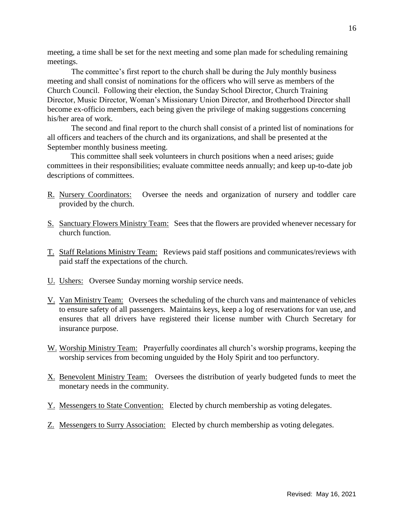meeting, a time shall be set for the next meeting and some plan made for scheduling remaining meetings.

The committee's first report to the church shall be during the July monthly business meeting and shall consist of nominations for the officers who will serve as members of the Church Council. Following their election, the Sunday School Director, Church Training Director, Music Director, Woman's Missionary Union Director, and Brotherhood Director shall become ex-officio members, each being given the privilege of making suggestions concerning his/her area of work.

The second and final report to the church shall consist of a printed list of nominations for all officers and teachers of the church and its organizations, and shall be presented at the September monthly business meeting.

This committee shall seek volunteers in church positions when a need arises; guide committees in their responsibilities; evaluate committee needs annually; and keep up-to-date job descriptions of committees.

- R. Nursery Coordinators: Oversee the needs and organization of nursery and toddler care provided by the church.
- S. Sanctuary Flowers Ministry Team: Sees that the flowers are provided whenever necessary for church function.
- T. Staff Relations Ministry Team: Reviews paid staff positions and communicates/reviews with paid staff the expectations of the church.
- U. Ushers: Oversee Sunday morning worship service needs.
- V. Van Ministry Team: Oversees the scheduling of the church vans and maintenance of vehicles to ensure safety of all passengers. Maintains keys, keep a log of reservations for van use, and ensures that all drivers have registered their license number with Church Secretary for insurance purpose.
- W. Worship Ministry Team: Prayerfully coordinates all church's worship programs, keeping the worship services from becoming unguided by the Holy Spirit and too perfunctory.
- X. Benevolent Ministry Team: Oversees the distribution of yearly budgeted funds to meet the monetary needs in the community.
- Y. Messengers to State Convention: Elected by church membership as voting delegates.
- Z. Messengers to Surry Association: Elected by church membership as voting delegates.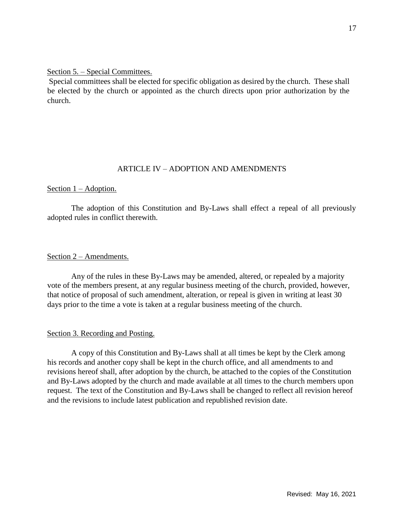## Section 5. – Special Committees.

Special committees shall be elected for specific obligation as desired by the church. These shall be elected by the church or appointed as the church directs upon prior authorization by the church.

## ARTICLE IV – ADOPTION AND AMENDMENTS

### Section 1 – Adoption.

The adoption of this Constitution and By-Laws shall effect a repeal of all previously adopted rules in conflict therewith.

### Section 2 – Amendments.

Any of the rules in these By-Laws may be amended, altered, or repealed by a majority vote of the members present, at any regular business meeting of the church, provided, however, that notice of proposal of such amendment, alteration, or repeal is given in writing at least 30 days prior to the time a vote is taken at a regular business meeting of the church.

## Section 3. Recording and Posting.

A copy of this Constitution and By-Laws shall at all times be kept by the Clerk among his records and another copy shall be kept in the church office, and all amendments to and revisions hereof shall, after adoption by the church, be attached to the copies of the Constitution and By-Laws adopted by the church and made available at all times to the church members upon request. The text of the Constitution and By-Laws shall be changed to reflect all revision hereof and the revisions to include latest publication and republished revision date.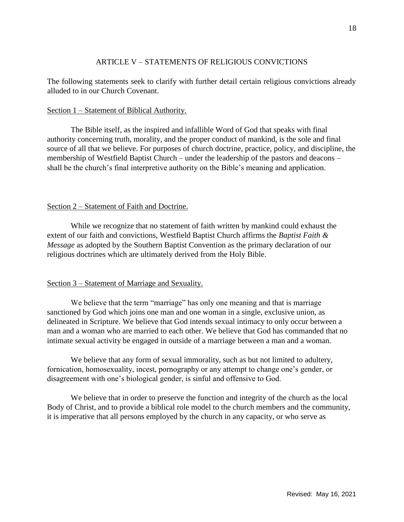## ARTICLE V – STATEMENTS OF RELIGIOUS CONVICTIONS

The following statements seek to clarify with further detail certain religious convictions already alluded to in our Church Covenant.

## Section 1 – Statement of Biblical Authority.

The Bible itself, as the inspired and infallible Word of God that speaks with final authority concerning truth, morality, and the proper conduct of mankind, is the sole and final source of all that we believe. For purposes of church doctrine, practice, policy, and discipline, the membership of Westfield Baptist Church – under the leadership of the pastors and deacons – shall be the church's final interpretive authority on the Bible's meaning and application.

## Section 2 – Statement of Faith and Doctrine.

While we recognize that no statement of faith written by mankind could exhaust the extent of our faith and convictions, Westfield Baptist Church affirms the *Baptist Faith & Message* as adopted by the Southern Baptist Convention as the primary declaration of our religious doctrines which are ultimately derived from the Holy Bible.

## Section 3 – Statement of Marriage and Sexuality.

We believe that the term "marriage" has only one meaning and that is marriage sanctioned by God which joins one man and one woman in a single, exclusive union, as delineated in Scripture. We believe that God intends sexual intimacy to only occur between a man and a woman who are married to each other. We believe that God has commanded that no intimate sexual activity be engaged in outside of a marriage between a man and a woman.

We believe that any form of sexual immorality, such as but not limited to adultery, fornication, homosexuality, incest, pornography or any attempt to change one's gender, or disagreement with one's biological gender, is sinful and offensive to God.

We believe that in order to preserve the function and integrity of the church as the local Body of Christ, and to provide a biblical role model to the church members and the community, it is imperative that all persons employed by the church in any capacity, or who serve as